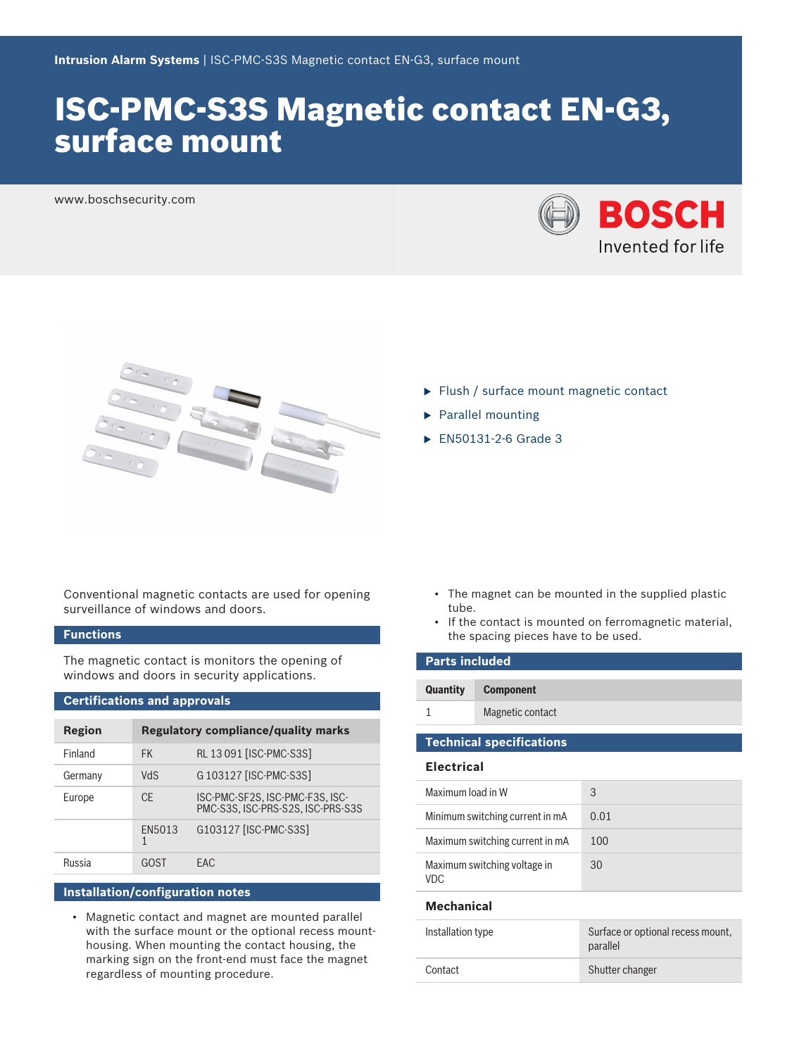# ISC-PMC-S3S Magnetic contact EN-G3, surface mount

www.boschsecurity.com





- $\blacktriangleright$  Flush / surface mount magnetic contact
- $\blacktriangleright$  Parallel mounting
- $\blacktriangleright$  EN50131-2-6 Grade 3

Conventional magnetic contacts are used for opening surveillance of windows and doors.

### **Functions**

The magnetic contact is monitors the opening of windows and doors in security applications.

#### **Certifications and approvals**

| Region  | <b>Regulatory compliance/quality marks</b> |                                                                      |
|---------|--------------------------------------------|----------------------------------------------------------------------|
| Finland | <b>FK</b>                                  | RL 13 091 [ISC-PMC-S3S]                                              |
| Germany | <b>ShV</b>                                 | G 103127 [ISC-PMC-S3S]                                               |
| Europe  | CF.                                        | ISC-PMC-SF2S, ISC-PMC-F3S, ISC-<br>PMC-S3S. ISC-PRS-S2S. ISC-PRS-S3S |
|         | FN5013<br>1                                | G103127 [ISC-PMC-S3S]                                                |
| Russia  | GOST                                       | FAC.                                                                 |

### **Installation/configuration notes**

• Magnetic contact and magnet are mounted parallel with the surface mount or the optional recess mounthousing. When mounting the contact housing, the marking sign on the front-end must face the magnet regardless of mounting procedure.

- The magnet can be mounted in the supplied plastic tube.
- If the contact is mounted on ferromagnetic material, the spacing pieces have to be used.

| <b>Parts included</b>                      |                                 |                                               |  |  |
|--------------------------------------------|---------------------------------|-----------------------------------------------|--|--|
| Quantity                                   | <b>Component</b>                |                                               |  |  |
| 1                                          | Magnetic contact                |                                               |  |  |
|                                            | <b>Technical specifications</b> |                                               |  |  |
| <b>Electrical</b>                          |                                 |                                               |  |  |
| Maximum load in W                          |                                 | 3                                             |  |  |
| Minimum switching current in mA            |                                 | 0.01                                          |  |  |
| Maximum switching current in mA            |                                 | 100                                           |  |  |
| Maximum switching voltage in<br><b>VDC</b> |                                 | 30                                            |  |  |
| <b>Mechanical</b>                          |                                 |                                               |  |  |
| Installation type                          |                                 | Surface or optional recess mount,<br>parallel |  |  |
| Contact                                    |                                 | Shutter changer                               |  |  |